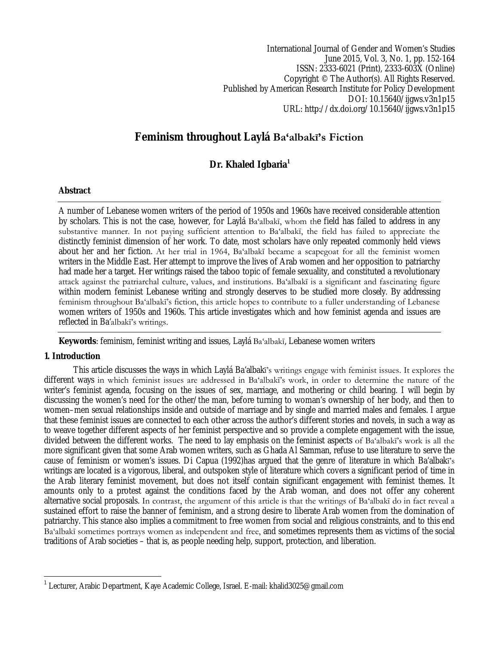International Journal of Gender and Women's Studies June 2015, Vol. 3, No. 1, pp. 152-164 ISSN: 2333-6021 (Print), 2333-603X (Online) Copyright © The Author(s). All Rights Reserved. Published by American Research Institute for Policy Development DOI: 10.15640/ijgws.v3n1p15 URL: http://dx.doi.org/10.15640/ijgws.v3n1p15

# **Feminism throughout Laylá Ba'albakī's Fiction**

# **Dr. Khaled Igbaria<sup>1</sup>**

# **Abstract**

A number of Lebanese women writers of the period of 1950s and 1960s have received considerable attention by scholars. This is not the case, however, for Laylá Ba'albakī, whom the field has failed to address in any substantive manner. In not paying sufficient attention to Ba'albakī, the field has failed to appreciate the distinctly feminist dimension of her work. To date, most scholars have only repeated commonly held views about her and her fiction. At her trial in 1964, Ba'albakī became a scapegoat for all the feminist women writers in the Middle East. Her attempt to improve the lives of Arab women and her opposition to patriarchy had made her a target. Her writings raised the taboo topic of female sexuality, and constituted a revolutionary attack against the patriarchal culture, values, and institutions. Ba'albakī is a significant and fascinating figure within modern feminist Lebanese writing and strongly deserves to be studied more closely. By addressing feminism throughout Ba'albakī's fiction, this article hopes to contribute to a fuller understanding of Lebanese women writers of 1950s and 1960s. This article investigates which and how feminist agenda and issues are reflected in Ba'albakī's writings.

**Keywords**: feminism, feminist writing and issues, Laylá Ba'albakī, Lebanese women writers

# **1. Introduction**

 $\overline{\phantom{a}}$ 

This article discusses the ways in which Laylá Ba'albakī's writings engage with feminist issues. It explores the different ways in which feminist issues are addressed in Ba'albakī's work, in order to determine the nature of the writer's feminist agenda, focusing on the issues of sex, marriage, and mothering or child bearing. I will begin by discussing the women's need for the other/the man, before turning to woman's ownership of her body, and then to women–men sexual relationships inside and outside of marriage and by single and married males and females. I argue that these feminist issues are connected to each other across the author's different stories and novels, in such a way as to weave together different aspects of her feminist perspective and so provide a complete engagement with the issue, divided between the different works. The need to lay emphasis on the feminist aspects of Ba'albakī's work is all the more significant given that some Arab women writers, such as Ghada Al Samman, refuse to use literature to serve the cause of feminism or women's issues. Di Capua (1992)has argued that the genre of literature in which Ba'albakī's writings are located is a vigorous, liberal, and outspoken style of literature which covers a significant period of time in the Arab literary feminist movement, but does not itself contain significant engagement with feminist themes. It amounts only to a protest against the conditions faced by the Arab woman, and does not offer any coherent alternative social proposals. In contrast, the argument of this article is that the writings of Ba'albakī do in fact reveal a sustained effort to raise the banner of feminism, and a strong desire to liberate Arab women from the domination of patriarchy. This stance also implies a commitment to free women from social and religious constraints, and to this end Ba'albakī sometimes portrays women as independent and free, and sometimes represents them as victims of the social traditions of Arab societies – that is, as people needing help, support, protection, and liberation.

<sup>1</sup> Lecturer, Arabic Department, Kaye Academic College, Israel. E-mail: khalid3025@gmail.com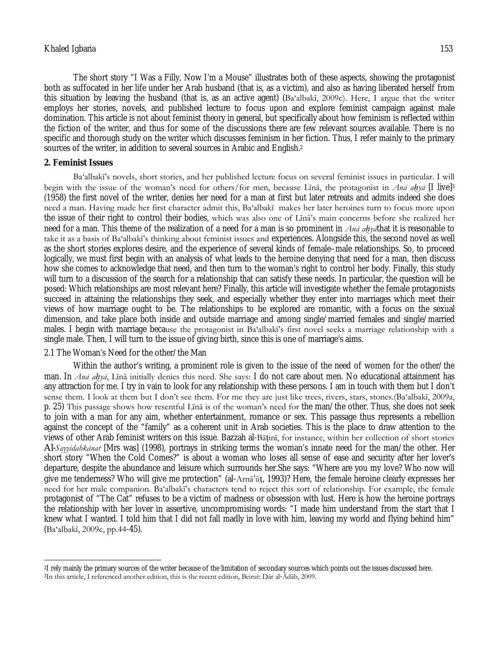The short story "I Was a Filly, Now I'm a Mouse" illustrates both of these aspects, showing the protagonist both as suffocated in her life under her Arab husband (that is, as a victim), and also as having liberated herself from this situation by leaving the husband (that is, as an active agent) (Ba'albakī, 2009c). Here, I argue that the writer employs her stories, novels, and published lecture to focus upon and explore feminist campaign against male domination. This article is not about feminist theory in general, but specifically about how feminism is reflected within the fiction of the writer, and thus for some of the discussions there are few relevant sources available. There is no specific and thorough study on the writer which discusses feminism in her fiction. Thus, I refer mainly to the primary sources of the writer, in addition to several sources in Arabic and English.<sup>2</sup>

### **2. Feminist Issues**

 $\overline{\phantom{a}}$ 

Ba'albakī's novels, short stories, and her published lecture focus on several feminist issues in particular. I will begin with the issue of the woman's need for others/for men, because Līnā, the protagonist in *Anā aḥyā* [I live]<sup>3</sup> (1958) the first novel of the writer, denies her need for a man at first but later retreats and admits indeed she does need a man. Having made her first character admit this, Ba'albakī makes her later heroines turn to focus more upon the issue of their right to control their bodies, which was also one of Līnā's main concerns before she realized her need for a man. This theme of the realization of a need for a man is so prominent in *Anā aḥyā*that it is reasonable to take it as a basis of Ba'albakī's thinking about feminist issues and experiences. Alongside this, the second novel as well as the short stories explores desire, and the experience of several kinds of female–male relationships. So, to proceed logically, we must first begin with an analysis of what leads to the heroine denying that need for a man, then discuss how she comes to acknowledge that need, and then turn to the woman's right to control her body. Finally, this study will turn to a discussion of the search for a relationship that can satisfy these needs. In particular, the question will be posed: Which relationships are most relevant here? Finally, this article will investigate whether the female protagonists succeed in attaining the relationships they seek, and especially whether they enter into marriages which meet their views of how marriage ought to be. The relationships to be explored are romantic, with a focus on the sexual dimension, and take place both inside and outside marriage and among single/married females and single/married males. I begin with marriage because the protagonist in Ba'albakī's first novel seeks a marriage relationship with a single male. Then, I will turn to the issue of giving birth, since this is one of marriage's aims.

## 2.1 The Woman's Need for the other/the Man

Within the author's writing, a prominent role is given to the issue of the need of women for the other/the man. In *Anā aḥyā*, Līnā initially denies this need. She says: I do not care about men. No educational attainment has any attraction for me. I try in vain to look for any relationship with these persons. I am in touch with them but I don't sense them. I look at them but I don't see them. For me they are just like trees, rivers, stars, stones.(Ba'albakī, 2009a, p. 25) This passage shows how resentful Līnā is of the woman's need for the man/the other. Thus, she does not seek to join with a man for any aim, whether entertainment, romance or sex. This passage thus represents a rebellion against the concept of the "family" as a coherent unit in Arab societies. This is the place to draw attention to the views of other Arab feminist writers on this issue. Bazzah al-Bāṭinī, for instance, within her collection of short stories *Al-Sayyidahkānat* [Mrs was] (1998), portrays in striking terms the woman's innate need for the man/the other. Her short story "When the Cold Comes?" is about a woman who loses all sense of ease and security after her lover's departure, despite the abundance and leisure which surrounds her.She says: "Where are you my love? Who now will give me tenderness? Who will give me protection" (al-Arnā'ūṭ, 1993)? Here, the female heroine clearly expresses her need for her male companion. Ba'albakī's characters tend to reject this sort of relationship. For example, the female protagonist of "The Cat" refuses to be a victim of madness or obsession with lust. Here is how the heroine portrays the relationship with her lover in assertive, uncompromising words: "I made him understand from the start that I knew what I wanted. I told him that I did not fall madly in love with him, leaving my world and flying behind him" (Ba'albakī, 2009c, pp.44-45).

<sup>2</sup>I rely mainly the primary sources of the writer because of the limitation of secondary sources which points out the issues discussed here. 3In this article, I referenced another edition, this is the recent edition, Beirut: Dār al-Ādāb, 2009.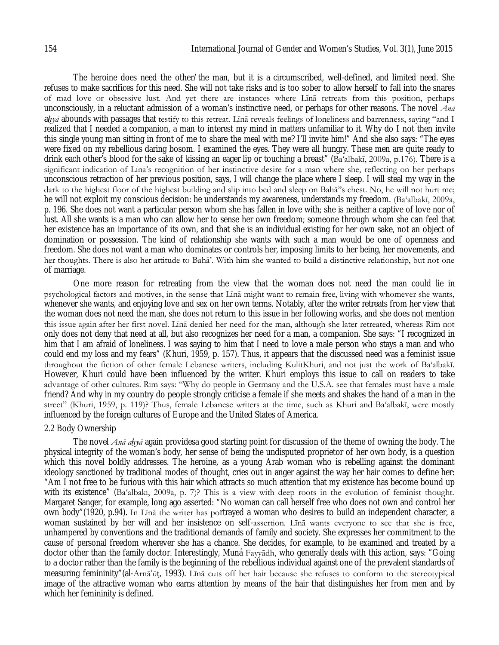The heroine does need the other/the man, but it is a circumscribed, well-defined, and limited need. She refuses to make sacrifices for this need. She will not take risks and is too sober to allow herself to fall into the snares of mad love or obsessive lust. And yet there are instances where Līnā retreats from this position, perhaps unconsciously, in a reluctant admission of a woman's instinctive need, or perhaps for other reasons. The novel *Anā aḥyā* abounds with passages that testify to this retreat. Līnā reveals feelings of loneliness and barrenness, saying "and I realized that I needed a companion, a man to interest my mind in matters unfamiliar to it. Why do I not then invite this single young man sitting in front of me to share the meal with me? I'll invite him!" And she also says: "The eyes were fixed on my rebellious daring bosom. I examined the eyes. They were all hungry. These men are quite ready to drink each other's blood for the sake of kissing an eager lip or touching a breast" (Ba'albakī, 2009a, p.176). There is a significant indication of Līnā's recognition of her instinctive desire for a man where she, reflecting on her perhaps unconscious retraction of her previous position, says, I will change the place where I sleep. I will steal my way in the dark to the highest floor of the highest building and slip into bed and sleep on Bahā''s chest. No, he will not hurt me; he will not exploit my conscious decision: he understands my awareness, understands my freedom. (Ba'albakī, 2009a, p. 196. She does not want a particular person whom she has fallen in love with; she is neither a captive of love nor of lust. All she wants is a man who can allow her to sense her own freedom; someone through whom she can feel that her existence has an importance of its own, and that she is an individual existing for her own sake, not an object of domination or possession. The kind of relationship she wants with such a man would be one of openness and freedom. She does not want a man who dominates or controls her, imposing limits to her being, her movements, and her thoughts. There is also her attitude to Bahā'. With him she wanted to build a distinctive relationship, but not one of marriage.

One more reason for retreating from the view that the woman does not need the man could lie in psychological factors and motives, in the sense that Līnā might want to remain free, living with whomever she wants, whenever she wants, and enjoying love and sex on her own terms. Notably, after the writer retreats from her view that the woman does not need the man, she does not return to this issue in her following works, and she does not mention this issue again after her first novel. Līnā denied her need for the man, although she later retreated, whereas Rīm not only does not deny that need at all, but also recognizes her need for a man, a companion. She says: "I recognized in him that I am afraid of loneliness. I was saying to him that I need to love a male person who stays a man and who could end my loss and my fears" (Khuri, 1959, p. 157). Thus, it appears that the discussed need was a feminist issue throughout the fiction of other female Lebanese writers, including KulitKhuri, and not just the work of Ba'albakī. However, Khuri could have been influenced by the writer. Khuri employs this issue to call on readers to take advantage of other cultures. Rīm says: "Why do people in Germany and the U.S.A. see that females must have a male friend? And why in my country do people strongly criticise a female if she meets and shakes the hand of a man in the street" (Khuri, 1959, p. 119)? Thus, female Lebanese writers at the time, such as Khuri and Ba'albakī, were mostly influenced by the foreign cultures of Europe and the United States of America.

### 2.2 Body Ownership

The novel *Anā aḥyā* again providesa good starting point for discussion of the theme of owning the body. The physical integrity of the woman's body, her sense of being the undisputed proprietor of her own body, is a question which this novel boldly addresses. The heroine, as a young Arab woman who is rebelling against the dominant ideology sanctioned by traditional modes of thought, cries out in anger against the way her hair comes to define her: "Am I not free to be furious with this hair which attracts so much attention that my existence has become bound up with its existence" (Ba'albakī, 2009a, p. 7)? This is a view with deep roots in the evolution of feminist thought. Margaret Sanger, for example, long ago asserted: "No woman can call herself free who does not own and control her own body"(1920, p.94). In Līnā the writer has portrayed a woman who desires to build an independent character, a woman sustained by her will and her insistence on self-assertion. Līnā wants everyone to see that she is free, unhampered by conventions and the traditional demands of family and society. She expresses her commitment to the cause of personal freedom wherever she has a chance. She decides, for example, to be examined and treated by a doctor other than the family doctor. Interestingly, Muná Fayyādh, who generally deals with this action, says: "Going to a doctor rather than the family is the beginning of the rebellious individual against one of the prevalent standards of measuring femininity"(al-Arnā'ūṭ, 1993). Līnā cuts off her hair because she refuses to conform to the stereotypical image of the attractive woman who earns attention by means of the hair that distinguishes her from men and by which her femininity is defined.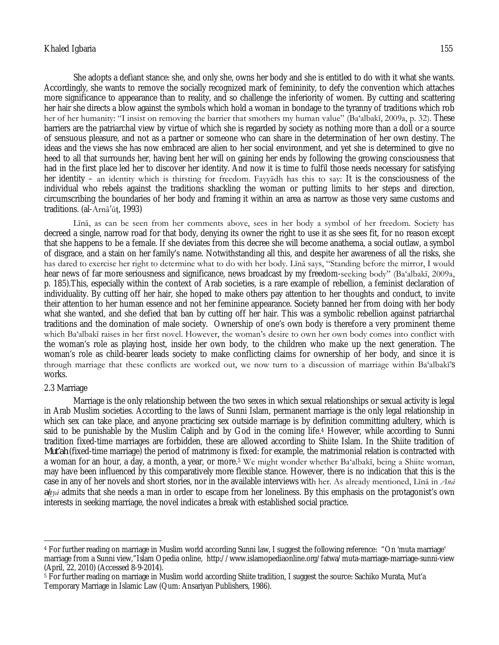She adopts a defiant stance: she, and only she, owns her body and she is entitled to do with it what she wants. Accordingly, she wants to remove the socially recognized mark of femininity, to defy the convention which attaches more significance to appearance than to reality, and so challenge the inferiority of women. By cutting and scattering her hair she directs a blow against the symbols which hold a woman in bondage to the tyranny of traditions which rob her of her humanity: "I insist on removing the barrier that smothers my human value" (Ba'albakī, 2009a, p. 32). These barriers are the patriarchal view by virtue of which she is regarded by society as nothing more than a doll or a source of sensuous pleasure, and not as a partner or someone who can share in the determination of her own destiny. The ideas and the views she has now embraced are alien to her social environment, and yet she is determined to give no heed to all that surrounds her, having bent her will on gaining her ends by following the growing consciousness that had in the first place led her to discover her identity. And now it is time to fulfil those needs necessary for satisfying her identity – an identity which is thirsting for freedom. Fayyādh has this to say: It is the consciousness of the individual who rebels against the traditions shackling the woman or putting limits to her steps and direction, circumscribing the boundaries of her body and framing it within an area as narrow as those very same customs and traditions. (al-Arnā'ūṭ, 1993)

Līnā, as can be seen from her comments above, sees in her body a symbol of her freedom. Society has decreed a single, narrow road for that body, denying its owner the right to use it as she sees fit, for no reason except that she happens to be a female. If she deviates from this decree she will become anathema, a social outlaw, a symbol of disgrace, and a stain on her family's name. Notwithstanding all this, and despite her awareness of all the risks, she has dared to exercise her right to determine what to do with her body. Līnā says, "Standing before the mirror, I would hear news of far more seriousness and significance, news broadcast by my freedom-seeking body" (Ba'albakī, 2009a, p. 185).This, especially within the context of Arab societies, is a rare example of rebellion, a feminist declaration of individuality. By cutting off her hair, she hoped to make others pay attention to her thoughts and conduct, to invite their attention to her human essence and not her feminine appearance. Society banned her from doing with her body what she wanted, and she defied that ban by cutting off her hair. This was a symbolic rebellion against patriarchal traditions and the domination of male society. Ownership of one's own body is therefore a very prominent theme which Ba'albakī raises in her first novel. However, the woman's desire to own her own body comes into conflict with the woman's role as playing host, inside her own body, to the children who make up the next generation. The woman's role as child-bearer leads society to make conflicting claims for ownership of her body, and since it is through marriage that these conflicts are worked out, we now turn to a discussion of marriage within Ba'albakī's works.

### 2.3 Marriage

Marriage is the only relationship between the two sexes in which sexual relationships or sexual activity is legal in Arab Muslim societies. According to the laws of Sunni Islam, permanent marriage is the only legal relationship in which sex can take place, and anyone practicing sex outside marriage is by definition committing adultery, which is said to be punishable by the Muslim Caliph and by God in the coming life.<sup>4</sup> However, while according to Sunni tradition fixed-time marriages are forbidden, these are allowed according to Shiite Islam. In the Shiite tradition of *Mut'ah* (fixed-time marriage) the period of matrimony is fixed: for example, the matrimonial relation is contracted with a woman for an hour, a day, a month, a year, or more.<sup>5</sup> We might wonder whether Ba'albakī, being a Shiite woman, may have been influenced by this comparatively more flexible stance. However, there is no indication that this is the case in any of her novels and short stories, nor in the available interviews with her. As already mentioned, Līnā in *Anā aḥyā* admits that she needs a man in order to escape from her loneliness. By this emphasis on the protagonist's own interests in seeking marriage, the novel indicates a break with established social practice.

 $\overline{\phantom{a}}$ <sup>4</sup> For further reading on marriage in Muslim world according Sunni law, I suggest the following reference: "On 'muta marriage' marriage from a Sunni view,"Islam Opedia online, http://www.islamopediaonline.org/fatwa/muta-marriage-marriage-sunni-view (April, 22, 2010) (Accessed 8-9-2014).

<sup>&</sup>lt;sup>5</sup> For further reading on marriage in Muslim world according Shiite tradition, I suggest the source: Sachiko Murata, Mut'a Temporary Marriage in Islamic Law (Qum: Ansariyan Publishers, 1986).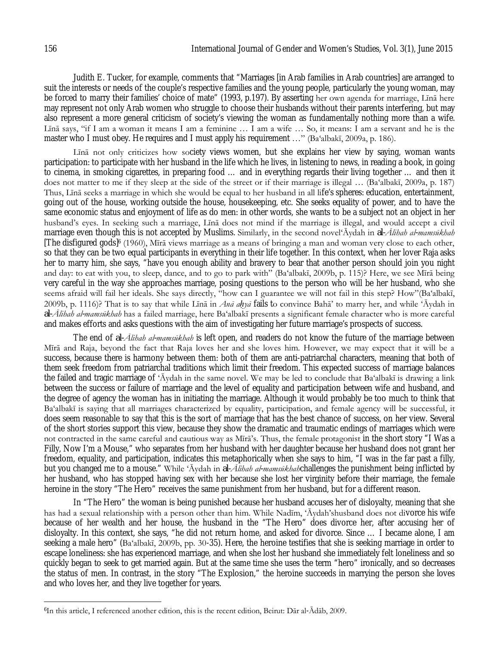Judith E. Tucker, for example, comments that "Marriages [in Arab families in Arab countries] are arranged to suit the interests or needs of the couple's respective families and the young people, particularly the young woman, may be forced to marry their families' choice of mate" (1993, p.197). By asserting her own agenda for marriage, Līnā here may represent not only Arab women who struggle to choose their husbands without their parents interfering, but may also represent a more general criticism of society's viewing the woman as fundamentally nothing more than a wife. Līnā says, "if I am a woman it means I am a feminine … I am a wife … So, it means: I am a servant and he is the master who I must obey. He requires and I must apply his requirement  $\ldots$ " (Ba'albakī, 2009a, p. 186).

Līnā not only criticizes how society views women, but she explains her view by saying, woman wants participation: to participate with her husband in the life which he lives, in listening to news, in reading a book, in going to cinema, in smoking cigarettes, in preparing food … and in everything regards their living together … and then it does not matter to me if they sleep at the side of the street or if their marriage is illegal … (Ba'albakī, 2009a, p. 187) Thus, Līnā seeks a marriage in which she would be equal to her husband in all life's spheres: education, entertainment, going out of the house, working outside the house, housekeeping, etc. She seeks equality of power, and to have the same economic status and enjoyment of life as do men: in other words, she wants to be a subject not an object in her husband's eyes. In seeking such a marriage, Līnā does not mind if the marriage is illegal, and would accept a civil marriage even though this is not accepted by Muslims. Similarly, in the second novel'Āydah in *al-Ālihah al-mamsūkhah* [The disfigured gods]<sup>6</sup> (1960), Mīrā views marriage as a means of bringing a man and woman very close to each other, so that they can be two equal participants in everything in their life together. In this context, when her lover Raja asks her to marry him, she says, "have you enough ability and bravery to bear that another person should join you night and day: to eat with you, to sleep, dance, and to go to park with" (Ba'albakī, 2009b, p. 115)? Here, we see Mīrā being very careful in the way she approaches marriage, posing questions to the person who will be her husband, who she seems afraid will fail her ideals. She says directly, "how can I guarantee we will not fail in this step? How"(Ba'albakī, 2009b, p. 1116)? That is to say that while Līnā in *Anā aḥyā* fails to convince Bahā' to marry her, and while 'Āydah in *al-Ālihah al-mamsūkhah* has a failed marriage, here Ba'albakī presents a significant female character who is more careful and makes efforts and asks questions with the aim of investigating her future marriage's prospects of success.

The end of *al-Ālihah al-mamsūkhah* is left open, and readers do not know the future of the marriage between Mīrā and Raja, beyond the fact that Raja loves her and she loves him. However, we may expect that it will be a success, because there is harmony between them: both of them are anti-patriarchal characters, meaning that both of them seek freedom from patriarchal traditions which limit their freedom. This expected success of marriage balances the failed and tragic marriage of 'Āydah in the same novel. We may be led to conclude that Ba'albakī is drawing a link between the success or failure of marriage and the level of equality and participation between wife and husband, and the degree of agency the woman has in initiating the marriage. Although it would probably be too much to think that Ba'albakī is saying that all marriages characterized by equality, participation, and female agency will be successful, it does seem reasonable to say that this is the sort of marriage that has the best chance of success, on her view. Several of the short stories support this view, because they show the dramatic and traumatic endings of marriages which were not contracted in the same careful and cautious way as Mīrā's. Thus, the female protagonist in the short story "I Was a Filly, Now I'm a Mouse," who separates from her husband with her daughter because her husband does not grant her freedom, equality, and participation, indicates this metaphorically when she says to him, "I was in the far past a filly, but you changed me to a mouse." While 'Āydah in *al-Ālihah al-mamsūkhah*challenges the punishment being inflicted by her husband, who has stopped having sex with her because she lost her virginity before their marriage, the female heroine in the story "The Hero" receives the same punishment from her husband, but for a different reason.

In "The Hero" the woman is being punished because her husband accuses her of disloyalty, meaning that she has had a sexual relationship with a person other than him. While Nadīm, 'Āydah'shusband does not divorce his wife because of her wealth and her house, the husband in the "The Hero" does divorce her, after accusing her of disloyalty. In this context, she says, "he did not return home, and asked for divorce. Since … I became alone, I am seeking a male hero" (Ba'albakī, 2009b, pp. 30-35). Here, the heroine testifies that she is seeking marriage in order to escape loneliness: she has experienced marriage, and when she lost her husband she immediately felt loneliness and so quickly began to seek to get married again. But at the same time she uses the term "hero" ironically, and so decreases the status of men. In contrast, in the story "The Explosion," the heroine succeeds in marrying the person she loves and who loves her, and they live together for years.

<sup>6</sup>In this article, I referenced another edition, this is the recent edition, Beirut: Dār al-Ādāb, 2009.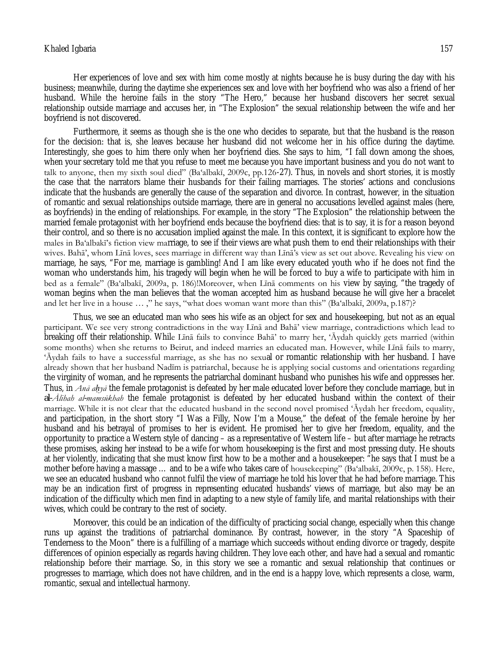Her experiences of love and sex with him come mostly at nights because he is busy during the day with his business; meanwhile, during the daytime she experiences sex and love with her boyfriend who was also a friend of her husband. While the heroine fails in the story "The Hero," because her husband discovers her secret sexual relationship outside marriage and accuses her, in "The Explosion" the sexual relationship between the wife and her boyfriend is not discovered.

Furthermore, it seems as though she is the one who decides to separate, but that the husband is the reason for the decision: that is, she leaves because her husband did not welcome her in his office during the daytime. Interestingly, she goes to him there only when her boyfriend dies. She says to him, "I fall down among the shoes, when your secretary told me that you refuse to meet me because you have important business and you do not want to talk to anyone, then my sixth soul died" (Ba'albakī, 2009c, pp.126-27). Thus, in novels and short stories, it is mostly the case that the narrators blame their husbands for their failing marriages. The stories' actions and conclusions indicate that the husbands are generally the cause of the separation and divorce. In contrast, however, in the situation of romantic and sexual relationships outside marriage, there are in general no accusations levelled against males (here, as boyfriends) in the ending of relationships. For example, in the story "The Explosion" the relationship between the married female protagonist with her boyfriend ends because the boyfriend dies: that is to say, it is for a reason beyond their control, and so there is no accusation implied against the male. In this context, it is significant to explore how the males in Ba'albakī's fiction view marriage, to see if their views are what push them to end their relationships with their wives. Bahā', whom Līnā loves, sees marriage in different way than Līnā's view as set out above. Revealing his view on marriage, he says, "For me, marriage is gambling! And I am like every educated youth who if he does not find the woman who understands him, his tragedy will begin when he will be forced to buy a wife to participate with him in bed as a female" (Ba'albakī, 2009a, p. 186)!Moreover, when Līnā comments on his view by saying, "the tragedy of woman begins when the man believes that the woman accepted him as husband because he will give her a bracelet and let her live in a house … ," he says, "what does woman want more than this" (Ba'albakī, 2009a, p.187)?

Thus, we see an educated man who sees his wife as an object for sex and housekeeping, but not as an equal participant. We see very strong contradictions in the way Līnā and Bahā' view marriage, contradictions which lead to breaking off their relationship. While Līnā fails to convince Bahā' to marry her, 'Āydah quickly gets married (within some months) when she returns to Beirut, and indeed marries an educated man. However, while Līnā fails to marry, 'Āydah fails to have a successful marriage, as she has no sexual or romantic relationship with her husband. I have already shown that her husband Nadīm is patriarchal, because he is applying social customs and orientations regarding the virginity of woman, and he represents the patriarchal dominant husband who punishes his wife and oppresses her. Thus, in *Anā aḥyā* the female protagonist is defeated by her male educated lover before they conclude marriage, but in *al-Ālihah al-mamsūkhah* the female protagonist is defeated by her educated husband within the context of their marriage. While it is not clear that the educated husband in the second novel promised 'Āydah her freedom, equality, and participation, in the short story "I Was a Filly, Now I'm a Mouse," the defeat of the female heroine by her husband and his betrayal of promises to her is evident. He promised her to give her freedom, equality, and the opportunity to practice a Western style of dancing – as a representative of Western life – but after marriage he retracts these promises, asking her instead to be a wife for whom housekeeping is the first and most pressing duty. He shouts at her violently, indicating that she must know first how to be a mother and a housekeeper: "he says that I must be a mother before having a massage ... and to be a wife who takes care of housekeeping" (Ba'albakī, 2009c, p. 158). Here, we see an educated husband who cannot fulfil the view of marriage he told his lover that he had before marriage. This may be an indication first of progress in representing educated husbands' views of marriage, but also may be an indication of the difficulty which men find in adapting to a new style of family life, and marital relationships with their wives, which could be contrary to the rest of society.

Moreover, this could be an indication of the difficulty of practicing social change, especially when this change runs up against the traditions of patriarchal dominance. By contrast, however, in the story "A Spaceship of Tenderness to the Moon" there is a fulfilling of a marriage which succeeds without ending divorce or tragedy, despite differences of opinion especially as regards having children. They love each other, and have had a sexual and romantic relationship before their marriage. So, in this story we see a romantic and sexual relationship that continues or progresses to marriage, which does not have children, and in the end is a happy love, which represents a close, warm, romantic, sexual and intellectual harmony.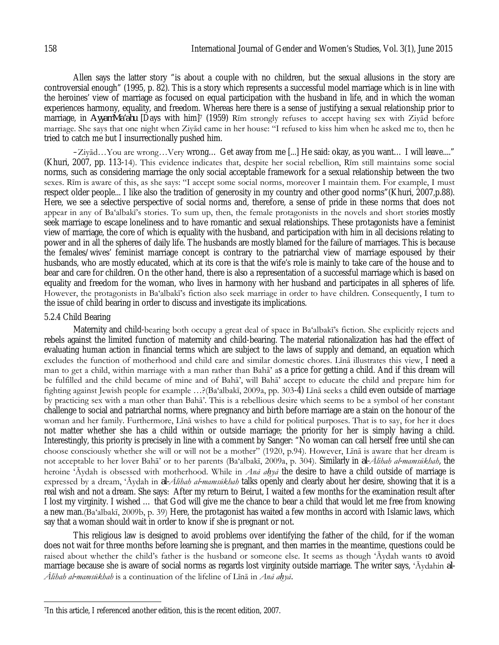Allen says the latter story "is about a couple with no children, but the sexual allusions in the story are controversial enough" (1995, p. 82). This is a story which represents a successful model marriage which is in line with the heroines' view of marriage as focused on equal participation with the husband in life, and in which the woman experiences harmony, equality, and freedom. Whereas here there is a sense of justifying a sexual relationship prior to marriage, in *AyyamMa'ahu* [Days with him]<sup>7</sup> (1959) Rīm strongly refuses to accept having sex with Ziyād before marriage. She says that one night when Ziyād came in her house: "I refused to kiss him when he asked me to, then he tried to catch me but I insurrectionally pushed him.

–Ziyād…You are wrong…Very wrong… Get away from me [...] He said: okay, as you want… I will leave...." (Khuri, 2007, pp. 113-14). This evidence indicates that, despite her social rebellion, Rīm still maintains some social norms, such as considering marriage the only social acceptable framework for a sexual relationship between the two sexes. Rīm is aware of this, as she says: "I accept some social norms, moreover I maintain them. For example, I must respect older people... I like also the tradition of generosity in my country and other good norms"(Khuri, 2007,p.88). Here, we see a selective perspective of social norms and, therefore, a sense of pride in these norms that does not appear in any of Ba'albakī's stories. To sum up, then, the female protagonists in the novels and short stories mostly seek marriage to escape loneliness and to have romantic and sexual relationships. These protagonists have a feminist view of marriage, the core of which is equality with the husband, and participation with him in all decisions relating to power and in all the spheres of daily life. The husbands are mostly blamed for the failure of marriages. This is because the females/wives' feminist marriage concept is contrary to the patriarchal view of marriage espoused by their husbands, who are mostly educated, which at its core is that the wife's role is mainly to take care of the house and to bear and care for children. On the other hand, there is also a representation of a successful marriage which is based on equality and freedom for the woman, who lives in harmony with her husband and participates in all spheres of life. However, the protagonists in Ba'albakī's fiction also seek marriage in order to have children. Consequently, I turn to the issue of child bearing in order to discuss and investigate its implications.

### 5.2.4 Child Bearing

Maternity and child-bearing both occupy a great deal of space in Ba'albakī's fiction. She explicitly rejects and rebels against the limited function of maternity and child-bearing. The material rationalization has had the effect of evaluating human action in financial terms which are subject to the laws of supply and demand, an equation which excludes the function of motherhood and child care and similar domestic chores. Līnā illustrates this view, I need a man to get a child, within marriage with a man rather than Bahā' as a price for getting a child. And if this dream will be fulfilled and the child became of mine and of Bahā', will Bahā' accept to educate the child and prepare him for fighting against Jewish people for example …?(Ba'albakī, 2009a, pp. 303-4) Līnā seeks a child even outside of marriage by practicing sex with a man other than Bahā'. This is a rebellious desire which seems to be a symbol of her constant challenge to social and patriarchal norms, where pregnancy and birth before marriage are a stain on the honour of the woman and her family. Furthermore, Līnā wishes to have a child for political purposes. That is to say, for her it does not matter whether she has a child within or outside marriage; the priority for her is simply having a child. Interestingly, this priority is precisely in line with a comment by Sanger: "No woman can call herself free until she can choose consciously whether she will or will not be a mother" (1920, p.94). However, Līnā is aware that her dream is not acceptable to her lover Bahā' or to her parents (Ba'albakī, 2009a, p. 304). Similarly in *al-Ālihah al-mamsūkhah*, the heroine 'Āydah is obsessed with motherhood. While in *Anā aḥyā* the desire to have a child outside of marriage is expressed by a dream, 'Āydah in *al-Ālihah al-mamsūkhah* talks openly and clearly about her desire, showing that it is a real wish and not a dream. She says: After my return to Beirut, I waited a few months for the examination result after I lost my virginity. I wished … that God will give me the chance to bear a child that would let me free from knowing a new man.(Ba'albakī, 2009b, p. 39) Here, the protagonist has waited a few months in accord with Islamic laws, which say that a woman should wait in order to know if she is pregnant or not.

This religious law is designed to avoid problems over identifying the father of the child, for if the woman does not wait for three months before learning she is pregnant, and then marries in the meantime, questions could be raised about whether the child's father is the husband or someone else. It seems as though 'Āydah wants to avoid marriage because she is aware of social norms as regards lost virginity outside marriage. The writer says, 'Āydahin *al-Ālihah al-mamsūkhah* is a continuation of the lifeline of Līnā in *Anā aḥyā*.

 $\overline{\phantom{a}}$ 7In this article, I referenced another edition, this is the recent edition, 2007.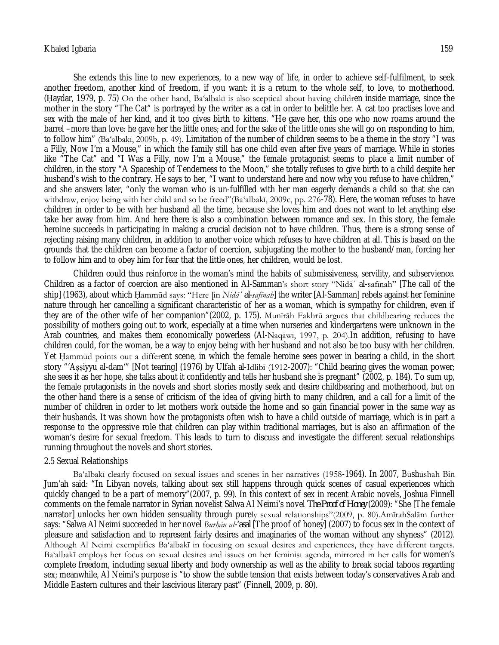She extends this line to new experiences, to a new way of life, in order to achieve self-fulfilment, to seek another freedom, another kind of freedom, if you want: it is a return to the whole self, to love, to motherhood. (Ḥaydar, 1979, p. 75) On the other hand, Ba'albakī is also sceptical about having children inside marriage, since the mother in the story "The Cat" is portrayed by the writer as a cat in order to belittle her. A cat too practises love and sex with the male of her kind, and it too gives birth to kittens. "He gave her, this one who now roams around the barrel –more than love: he gave her the little ones; and for the sake of the little ones she will go on responding to him, to follow him" (Ba'albakī, 2009b, p. 49). Limitation of the number of children seems to be a theme in the story "I was a Filly, Now I'm a Mouse," in which the family still has one child even after five years of marriage. While in stories like "The Cat" and "I Was a Filly, now I'm a Mouse," the female protagonist seems to place a limit number of children, in the story "A Spaceship of Tenderness to the Moon," she totally refuses to give birth to a child despite her husband's wish to the contrary. He says to her, "I want to understand here and now why you refuse to have children," and she answers later, "only the woman who is un-fulfilled with her man eagerly demands a child so that she can withdraw, enjoy being with her child and so be freed"(Ba'albakī, 2009c, pp. 276-78). Here, the woman refuses to have children in order to be with her husband all the time, because she loves him and does not want to let anything else take her away from him. And here there is also a combination between romance and sex. In this story, the female heroine succeeds in participating in making a crucial decision not to have children. Thus, there is a strong sense of rejecting raising many children, in addition to another voice which refuses to have children at all. This is based on the grounds that the children can become a factor of coercion, subjugating the mother to the husband/man, forcing her to follow him and to obey him for fear that the little ones, her children, would be lost.

Children could thus reinforce in the woman's mind the habits of submissiveness, servility, and subservience. Children as a factor of coercion are also mentioned in Al-Samman's short story "Nidāʾ al-safīnah" [The call of the ship] (1963), about which Ḥammūd says: "Here [in *Nidāʾ al-safīnah*] the writer [Al-Samman] rebels against her feminine nature through her cancelling a significant characteristic of her as a woman, which is sympathy for children, even if they are of the other wife of her companion"(2002, p. 175). Munīrāh Fakhrū argues that childbearing reduces the possibility of mothers going out to work, especially at a time when nurseries and kindergartens were unknown in the Arab countries, and makes them economically powerless (Al-Naqāwī, 1997, p. 204).In addition, refusing to have children could, for the woman, be a way to enjoy being with her husband and not also be too busy with her children. Yet Ḥammūd points out a different scene, in which the female heroine sees power in bearing a child, in the short story "'Aṣṣiyyu al-dam'" [Not tearing] (1976) by Ulfah al-Idlibī (1912-2007): "Child bearing gives the woman power; she sees it as her hope, she talks about it confidently and tells her husband she is pregnant" (2002, p. 184). To sum up, the female protagonists in the novels and short stories mostly seek and desire childbearing and motherhood, but on the other hand there is a sense of criticism of the idea of giving birth to many children, and a call for a limit of the number of children in order to let mothers work outside the home and so gain financial power in the same way as their husbands. It was shown how the protagonists often wish to have a child outside of marriage, which is in part a response to the oppressive role that children can play within traditional marriages, but is also an affirmation of the woman's desire for sexual freedom. This leads to turn to discuss and investigate the different sexual relationships running throughout the novels and short stories.

## 2.5 Sexual Relationships

Ba'albakī clearly focused on sexual issues and scenes in her narratives (1958-1964). In 2007, Būshūshah Bin Jum'ah said: "In Libyan novels, talking about sex still happens through quick scenes of casual experiences which quickly changed to be a part of memory"(2007, p. 99). In this context of sex in recent Arabic novels, Joshua Finnell comments on the female narrator in Syrian novelist Salwa Al Neimi's novel *The Proof of Honey* (2009): "She [The female narrator] unlocks her own hidden sensuality through purely sexual relationships"(2009, p. 80).AmīrahSalām further says: "Salwa Al Neimi succeeded in her novel *Burhān al-'asal* [The proof of honey] (2007) to focus sex in the context of pleasure and satisfaction and to represent fairly desires and imaginaries of the woman without any shyness" (2012). Although Al Neimi exemplifies Ba'albakī in focusing on sexual desires and experiences, they have different targets. Ba'albakī employs her focus on sexual desires and issues on her feminist agenda, mirrored in her calls for women's complete freedom, including sexual liberty and body ownership as well as the ability to break social taboos regarding sex; meanwhile, Al Neimi's purpose is "to show the subtle tension that exists between today's conservatives Arab and Middle Eastern cultures and their lascivious literary past" (Finnell, 2009, p. 80).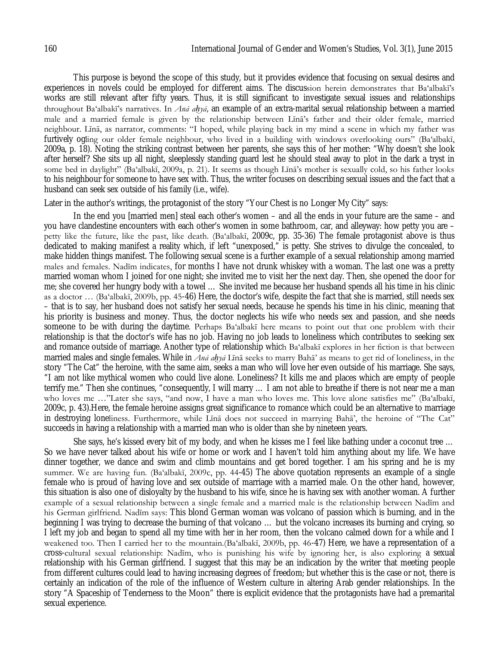This purpose is beyond the scope of this study, but it provides evidence that focusing on sexual desires and experiences in novels could be employed for different aims. The discussion herein demonstrates that Ba'albakī's works are still relevant after fifty years. Thus, it is still significant to investigate sexual issues and relationships throughout Ba'albakī's narratives. In *Anā aḥyā*, an example of an extra-marital sexual relationship between a married male and a married female is given by the relationship between Līnā's father and their older female, married neighbour. Līnā, as narrator, comments: "I hoped, while playing back in my mind a scene in which my father was furtively ogling our older female neighbour, who lived in a building with windows overlooking ours" (Ba'albakī, 2009a, p. 18). Noting the striking contrast between her parents, she says this of her mother: "Why doesn't she look after herself? She sits up all night, sleeplessly standing guard lest he should steal away to plot in the dark a tryst in some bed in daylight" (Ba'albakī, 2009a, p. 21). It seems as though Līnā's mother is sexually cold, so his father looks to his neighbour for someone to have sex with. Thus, the writer focuses on describing sexual issues and the fact that a husband can seek sex outside of his family (i.e., wife).

Later in the author's writings, the protagonist of the story "Your Chest is no Longer My City" says:

In the end you [married men] steal each other's women – and all the ends in your future are the same – and you have clandestine encounters with each other's women in some bathroom, car, and alleyway: how petty you are – petty like the future, like the past, like death. (Ba'albakī, 2009c, pp. 35-36) The female protagonist above is thus dedicated to making manifest a reality which, if left "unexposed," is petty. She strives to divulge the concealed, to make hidden things manifest. The following sexual scene is a further example of a sexual relationship among married males and females. Nadīm indicates, for months I have not drunk whiskey with a woman. The last one was a pretty married woman whom I joined for one night; she invited me to visit her the next day. Then, she opened the door for me; she covered her hungry body with a towel … She invited me because her husband spends all his time in his clinic as a doctor … (Ba'albakī, 2009b, pp. 45-46) Here, the doctor's wife, despite the fact that she is married, still needs sex – that is to say, her husband does not satisfy her sexual needs, because he spends his time in his clinic, meaning that his priority is business and money. Thus, the doctor neglects his wife who needs sex and passion, and she needs someone to be with during the daytime. Perhaps Ba'albakī here means to point out that one problem with their relationship is that the doctor's wife has no job. Having no job leads to loneliness which contributes to seeking sex and romance outside of marriage. Another type of relationship which Ba'albakī explores in her fiction is that between married males and single females. While in *Anā aḥyā* Līnā seeks to marry Bahā' as means to get rid of loneliness, in the story "The Cat" the heroine, with the same aim, seeks a man who will love her even outside of his marriage. She says, "I am not like mythical women who could live alone. Loneliness? It kills me and places which are empty of people terrify me." Then she continues, "consequently, I will marry … I am not able to breathe if there is not near me a man who loves me …"Later she says, "and now, I have a man who loves me. This love alone satisfies me" (Ba'albakī, 2009c, p. 43).Here, the female heroine assigns great significance to romance which could be an alternative to marriage in destroying loneliness. Furthermore, while Līnā does not succeed in marrying Bahā', the heroine of "The Cat" succeeds in having a relationship with a married man who is older than she by nineteen years.

She says, he's kissed every bit of my body, and when he kisses me I feel like bathing under a coconut tree … So we have never talked about his wife or home or work and I haven't told him anything about my life. We have dinner together, we dance and swim and climb mountains and get bored together. I am his spring and he is my summer. We are having fun. (Ba'albakī, 2009c, pp. 44-45) The above quotation represents an example of a single female who is proud of having love and sex outside of marriage with a married male. On the other hand, however, this situation is also one of disloyalty by the husband to his wife, since he is having sex with another woman. A further example of a sexual relationship between a single female and a married male is the relationship between Nadīm and his German girlfriend. Nadīm says: This blond German woman was volcano of passion which is burning, and in the beginning I was trying to decrease the burning of that volcano … but the volcano increases its burning and crying, so I left my job and began to spend all my time with her in her room, then the volcano calmed down for a while and I weakened too. Then I carried her to the mountain.(Ba'albakī, 2009b, pp. 46-47) Here, we have a representation of a cross-cultural sexual relationship: Nadīm, who is punishing his wife by ignoring her, is also exploring a sexual relationship with his German girlfriend. I suggest that this may be an indication by the writer that meeting people from different cultures could lead to having increasing degrees of freedom; but whether this is the case or not, there is certainly an indication of the role of the influence of Western culture in altering Arab gender relationships. In the story "A Spaceship of Tenderness to the Moon" there is explicit evidence that the protagonists have had a premarital sexual experience.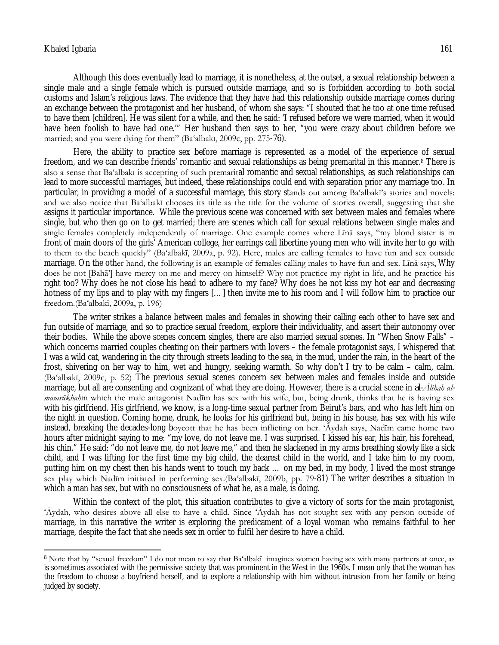$\overline{\phantom{a}}$ 

Although this does eventually lead to marriage, it is nonetheless, at the outset, a sexual relationship between a single male and a single female which is pursued outside marriage, and so is forbidden according to both social customs and Islam's religious laws. The evidence that they have had this relationship outside marriage comes during an exchange between the protagonist and her husband, of whom she says: "I shouted that he too at one time refused to have them [children]. He was silent for a while, and then he said: 'I refused before we were married, when it would have been foolish to have had one.'" Her husband then says to her, "you were crazy about children before we married; and you were dying for them" (Ba'albakī, 2009c, pp. 275-76).

Here, the ability to practice sex before marriage is represented as a model of the experience of sexual freedom, and we can describe friends' romantic and sexual relationships as being premarital in this manner.<sup>8</sup> There is also a sense that Ba'albakī is accepting of such premarital romantic and sexual relationships, as such relationships can lead to more successful marriages, but indeed, these relationships could end with separation prior any marriage too. In particular, in providing a model of a successful marriage, this story stands out among Ba'albakī's stories and novels: and we also notice that Ba'albakī chooses its title as the title for the volume of stories overall, suggesting that she assigns it particular importance. While the previous scene was concerned with sex between males and females where single, but who then go on to get married; there are scenes which call for sexual relations between single males and single females completely independently of marriage. One example comes where Līnā says, "my blond sister is in front of main doors of the girls' American college, her earrings call libertine young men who will invite her to go with to them to the beach quickly" (Ba'albakī, 2009a, p. 92). Here, males are calling females to have fun and sex outside marriage. On the other hand, the following is an example of females calling males to have fun and sex. Līnā says, Why does he not [Bahā'] have mercy on me and mercy on himself? Why not practice my right in life, and he practice his right too? Why does he not close his head to adhere to my face? Why does he not kiss my hot ear and decreasing hotness of my lips and to play with my fingers […] then invite me to his room and I will follow him to practice our freedom.(Ba'albakī, 2009a, p. 196)

The writer strikes a balance between males and females in showing their calling each other to have sex and fun outside of marriage, and so to practice sexual freedom, explore their individuality, and assert their autonomy over their bodies. While the above scenes concern singles, there are also married sexual scenes. In "When Snow Falls" – which concerns married couples cheating on their partners with lovers – the female protagonist says, I whispered that I was a wild cat, wandering in the city through streets leading to the sea, in the mud, under the rain, in the heart of the frost, shivering on her way to him, wet and hungry, seeking warmth. So why don't I try to be calm – calm, calm. (Ba'albakī, 2009c, p. 52) The previous sexual scenes concern sex between males and females inside and outside marriage, but all are consenting and cognizant of what they are doing. However, there is a crucial scene in *al-Ālihah almamsūkhah*in which the male antagonist Nadīm has sex with his wife, but, being drunk, thinks that he is having sex with his girlfriend. His girlfriend, we know, is a long-time sexual partner from Beirut's bars, and who has left him on the night in question. Coming home, drunk, he looks for his girlfriend but, being in his house, has sex with his wife instead, breaking the decades-long boycott that he has been inflicting on her. 'Āydah says, Nadīm came home two hours after midnight saying to me: "my love, do not leave me. I was surprised. I kissed his ear, his hair, his forehead, his chin." He said: "do not leave me, do not leave me," and then he slackened in my arms breathing slowly like a sick child, and I was lifting for the first time my big child, the dearest child in the world, and I take him to my room, putting him on my chest then his hands went to touch my back … on my bed, in my body, I lived the most strange sex play which Nadīm initiated in performing sex.(Ba'albakī, 2009b, pp. 79-81) The writer describes a situation in which a man has sex, but with no consciousness of what he, as a male, is doing.

Within the context of the plot, this situation contributes to give a victory of sorts for the main protagonist, 'Āydah, who desires above all else to have a child. Since 'Āydah has not sought sex with any person outside of marriage, in this narrative the writer is exploring the predicament of a loyal woman who remains faithful to her marriage, despite the fact that she needs sex in order to fulfil her desire to have a child.

<sup>&</sup>lt;sup>8</sup> Note that by "sexual freedom" I do not mean to say that Ba'albakī imagines women having sex with many partners at once, as is sometimes associated with the permissive society that was prominent in the West in the 1960s. I mean only that the woman has the freedom to choose a boyfriend herself, and to explore a relationship with him without intrusion from her family or being judged by society.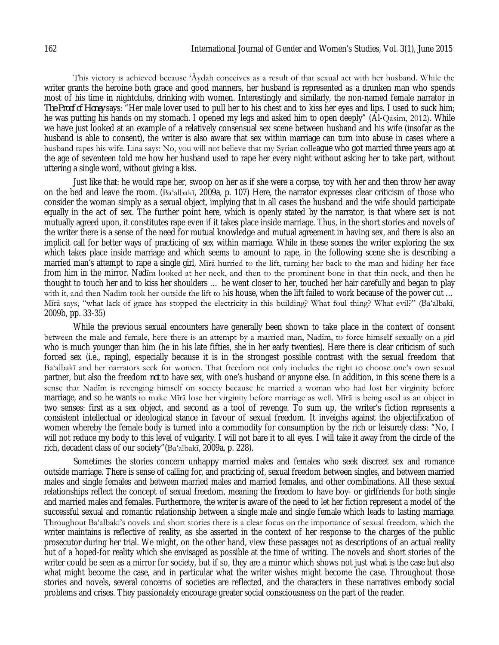This victory is achieved because 'Āydah conceives as a result of that sexual act with her husband. While the writer grants the heroine both grace and good manners, her husband is represented as a drunken man who spends most of his time in nightclubs, drinking with women. Interestingly and similarly, the non-named female narrator in *The Proof of Honey* says: "Her male lover used to pull her to his chest and to kiss her eyes and lips. I used to suck him; he was putting his hands on my stomach. I opened my legs and asked him to open deeply" (Al-Qāsim, 2012). While we have just looked at an example of a relatively consensual sex scene between husband and his wife (insofar as the husband is able to consent), the writer is also aware that sex within marriage can turn into abuse in cases where a husband rapes his wife. Līnā says: No, you will not believe that my Syrian colleague who got married three years ago at the age of seventeen told me how her husband used to rape her every night without asking her to take part, without uttering a single word, without giving a kiss.

Just like that: he would rape her, swoop on her as if she were a corpse, toy with her and then throw her away on the bed and leave the room. (Ba'albakī, 2009a, p. 107) Here, the narrator expresses clear criticism of those who consider the woman simply as a sexual object, implying that in all cases the husband and the wife should participate equally in the act of sex. The further point here, which is openly stated by the narrator, is that where sex is not mutually agreed upon, it constitutes rape even if it takes place inside marriage. Thus, in the short stories and novels of the writer there is a sense of the need for mutual knowledge and mutual agreement in having sex, and there is also an implicit call for better ways of practicing of sex within marriage. While in these scenes the writer exploring the sex which takes place inside marriage and which seems to amount to rape, in the following scene she is describing a married man's attempt to rape a single girl, Mīrā hurried to the lift, turning her back to the man and hiding her face from him in the mirror. Nadīm looked at her neck, and then to the prominent bone in that thin neck, and then he thought to touch her and to kiss her shoulders … he went closer to her, touched her hair carefully and began to play with it, and then Nadīm took her outside the lift to his house, when the lift failed to work because of the power cut ... Mīrā says, "what lack of grace has stopped the electricity in this building? What foul thing? What evil?" (Ba'albakī, 2009b, pp. 33-35)

While the previous sexual encounters have generally been shown to take place in the context of consent between the male and female, here there is an attempt by a married man, Nadīm, to force himself sexually on a girl who is much younger than him (he in his late fifties, she in her early twenties). Here there is clear criticism of such forced sex (i.e., raping), especially because it is in the strongest possible contrast with the sexual freedom that Ba'albakī and her narrators seek for women. That freedom not only includes the right to choose one's own sexual partner, but also the freedom *not* to have sex, with one's husband or anyone else. In addition, in this scene there is a sense that Nadīm is revenging himself on society because he married a woman who had lost her virginity before marriage, and so he wants to make Mīrā lose her virginity before marriage as well. Mīrā is being used as an object in two senses: first as a sex object, and second as a tool of revenge. To sum up, the writer's fiction represents a consistent intellectual or ideological stance in favour of sexual freedom. It inveighs against the objectification of women whereby the female body is turned into a commodity for consumption by the rich or leisurely class: "No, I will not reduce my body to this level of vulgarity. I will not bare it to all eyes. I will take it away from the circle of the rich, decadent class of our society"(Ba'albakī, 2009a, p. 228).

Sometimes the stories concern unhappy married males and females who seek discreet sex and romance outside marriage. There is sense of calling for, and practicing of, sexual freedom between singles, and between married males and single females and between married males and married females, and other combinations. All these sexual relationships reflect the concept of sexual freedom, meaning the freedom to have boy- or girlfriends for both single and married males and females. Furthermore, the writer is aware of the need to let her fiction represent a model of the successful sexual and romantic relationship between a single male and single female which leads to lasting marriage. Throughout Ba'albakī's novels and short stories there is a clear focus on the importance of sexual freedom, which the writer maintains is reflective of reality, as she asserted in the context of her response to the charges of the public prosecutor during her trial. We might, on the other hand, view these passages not as descriptions of an actual reality but of a hoped-for reality which she envisaged as possible at the time of writing. The novels and short stories of the writer could be seen as a mirror for society, but if so, they are a mirror which shows not just what is the case but also what might become the case, and in particular what the writer wishes might become the case. Throughout those stories and novels, several concerns of societies are reflected, and the characters in these narratives embody social problems and crises. They passionately encourage greater social consciousness on the part of the reader.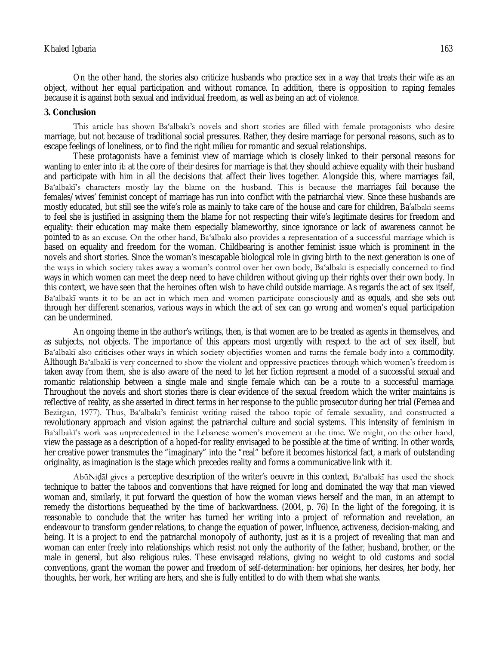On the other hand, the stories also criticize husbands who practice sex in a way that treats their wife as an object, without her equal participation and without romance. In addition, there is opposition to raping females because it is against both sexual and individual freedom, as well as being an act of violence.

### **3. Conclusion**

This article has shown Ba'albakī's novels and short stories are filled with female protagonists who desire marriage, but not because of traditional social pressures. Rather, they desire marriage for personal reasons, such as to escape feelings of loneliness, or to find the right milieu for romantic and sexual relationships.

These protagonists have a feminist view of marriage which is closely linked to their personal reasons for wanting to enter into it: at the core of their desires for marriage is that they should achieve equality with their husband and participate with him in all the decisions that affect their lives together. Alongside this, where marriages fail, Ba'albakī's characters mostly lay the blame on the husband. This is because the marriages fail because the females/wives' feminist concept of marriage has run into conflict with the patriarchal view. Since these husbands are mostly educated, but still see the wife's role as mainly to take care of the house and care for children, Ba'albakī seems to feel she is justified in assigning them the blame for not respecting their wife's legitimate desires for freedom and equality: their education may make them especially blameworthy, since ignorance or lack of awareness cannot be pointed to as an excuse. On the other hand, Ba'albakī also provides a representation of a successful marriage which is based on equality and freedom for the woman. Childbearing is another feminist issue which is prominent in the novels and short stories. Since the woman's inescapable biological role in giving birth to the next generation is one of the ways in which society takes away a woman's control over her own body, Ba'albakī is especially concerned to find ways in which women can meet the deep need to have children without giving up their rights over their own body. In this context, we have seen that the heroines often wish to have child outside marriage. As regards the act of sex itself, Ba'albakī wants it to be an act in which men and women participate consciously and as equals, and she sets out through her different scenarios, various ways in which the act of sex can go wrong and women's equal participation can be undermined.

An ongoing theme in the author's writings, then, is that women are to be treated as agents in themselves, and as subjects, not objects. The importance of this appears most urgently with respect to the act of sex itself, but Ba'albakī also criticises other ways in which society objectifies women and turns the female body into a commodity. Although Ba'albakī is very concerned to show the violent and oppressive practices through which women's freedom is taken away from them, she is also aware of the need to let her fiction represent a model of a successful sexual and romantic relationship between a single male and single female which can be a route to a successful marriage. Throughout the novels and short stories there is clear evidence of the sexual freedom which the writer maintains is reflective of reality, as she asserted in direct terms in her response to the public prosecutor during her trial (Fernea and Bezirgan, 1977). Thus, Ba'albakī's feminist writing raised the taboo topic of female sexuality, and constructed a revolutionary approach and vision against the patriarchal culture and social systems. This intensity of feminism in Ba'albakī's work was unprecedented in the Lebanese women's movement at the time. We might, on the other hand, view the passage as a description of a hoped-for reality envisaged to be possible at the time of writing. In other words, her creative power transmutes the "imaginary" into the "real" before it becomes historical fact, a mark of outstanding originality, as imagination is the stage which precedes reality and forms a communicative link with it.

AbūNiḍāl gives a perceptive description of the writer's oeuvre in this context, Ba'albakī has used the shock technique to batter the taboos and conventions that have reigned for long and dominated the way that man viewed woman and, similarly, it put forward the question of how the woman views herself and the man, in an attempt to remedy the distortions bequeathed by the time of backwardness. (2004, p. 76) In the light of the foregoing, it is reasonable to conclude that the writer has turned her writing into a project of reformation and revelation, an endeavour to transform gender relations, to change the equation of power, influence, activeness, decision-making, and being. It is a project to end the patriarchal monopoly of authority, just as it is a project of revealing that man and woman can enter freely into relationships which resist not only the authority of the father, husband, brother, or the male in general, but also religious rules. These envisaged relations, giving no weight to old customs and social conventions, grant the woman the power and freedom of self-determination: her opinions, her desires, her body, her thoughts, her work, her writing are hers, and she is fully entitled to do with them what she wants.